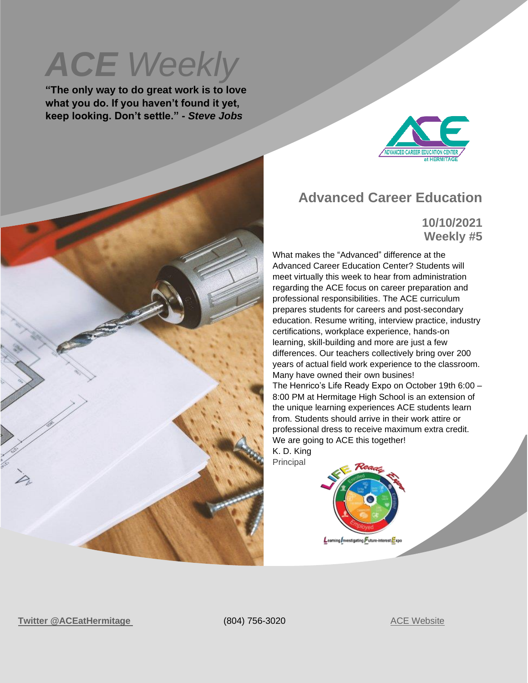**ACE** Weekly

**"The only way to do great work is to love what you do. If you haven't found it yet, keep looking. Don't settle." -** *Steve Jobs*



#### **Advanced Career Education**

**10/10/2021 Weekly #5**

What makes the "Advanced" difference at the Advanced Career Education Center? Students will meet virtually this week to hear from administration regarding the ACE focus on career preparation and professional responsibilities. The ACE curriculum prepares students for careers and post-secondary education. Resume writing, interview practice, industry certifications, workplace experience, hands-on learning, skill-building and more are just a few differences. Our teachers collectively bring over 200 years of actual field work experience to the classroom. Many have owned their own busines! The Henrico's Life Ready Expo on October 19th 6:00 – 8:00 PM at Hermitage High School is an extension of the unique learning experiences ACE students learn from. Students should arrive in their work attire or professional dress to receive maximum extra credit. We are going to ACE this together! K. D. King Principal



**Twitter** [@ACEatHermitage](https://twitter.com/ACEatHermitage?ref_src=twsrc%5Egoogle%7Ctwcamp%5Eserp%7Ctwgr%5Eauthor) (804) 756-3020 [ACE Website](https://acecenterathermitage.henricoschools.us/)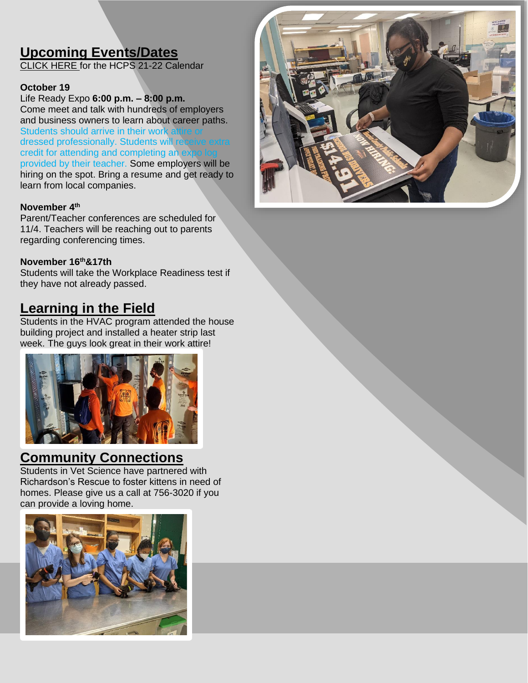# **Upcoming Events/Dates**

[CLICK HERE f](http://track.spe.schoolmessenger.com/f/a/xwNFdIS3OBonMf9XwdbnBQ~~/AAAAAQA~/RgRjHicOP0RNaHR0cHM6Ly9oZW5yaWNvc2Nob29scy51cy93cC1jb250ZW50L3VwbG9hZHMvSENQUy1TY2hvb2wtQ2FsZW5kYXItMjAyMS0yMi5wZGZXB3NjaG9vbG1CCmE4jvM8Ycm9hsxSGGtka2luZ0BoZW5yaWNvLmsxMi52YS51c1gEAAAAAQ~~)or the HCPS 21-22 Calendar

#### **October 19**

Life Ready Expo **6:00 p.m. – 8:00 p.m.** Come meet and talk with hundreds of employers and business owners to learn about career paths. Students should arrive in their work at dressed professionally. Students will rec credit for attending and completing an exprovided by their teacher. Some employers will be hiring on the spot. Bring a resume and get ready to learn from local companies.

#### **November 4 th**

Parent/Teacher conferences are scheduled for 11/4. Teachers will be reaching out to parents regarding conferencing times.

#### **November 16th&17th**

Students will take the Workplace Readiness test if they have not already passed.

### **Learning in the Field**

Students in the HVAC program attended the house building project and installed a heater strip last week. The guys look great in their work attire!



#### **Community Connections**

Students in Vet Science have partnered with Richardson's Rescue to foster kittens in need of homes. Please give us a call at 756-3020 if you can provide a loving home.



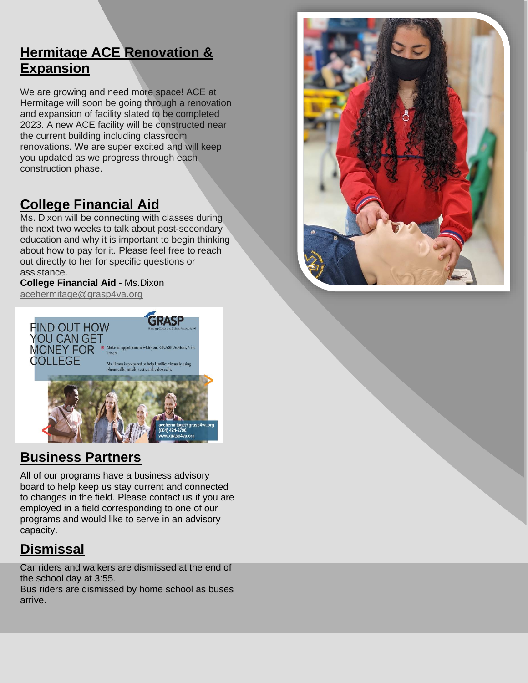## **Hermitage ACE Renovation & Expansion**

We are growing and need more space! ACE at Hermitage will soon be going through a renovation and expansion of facility slated to be completed 2023. A new ACE facility will be constructed near the current building including classroom renovations. We are super excited and will keep you updated as we progress through each construction phase.

## **College Financial Aid**

Ms. Dixon will be connecting with classes during the next two weeks to talk about post-secondary education and why it is important to begin thinking about how to pay for it. Please feel free to reach out directly to her for specific questions or assistance.

**College Financial Aid -** Ms.Dixon [acehermitage@grasp4va.org](mailto:acehermitage@grasp4va.org)



### **Business Partners**

All of our programs have a business advisory board to help keep us stay current and connected to changes in the field. Please contact us if you are employed in a field corresponding to one of our programs and would like to serve in an advisory capacity.

## **Dismissal**

Car riders and walkers are dismissed at the end of the school day at 3:55. Bus riders are dismissed by home school as buses arrive.

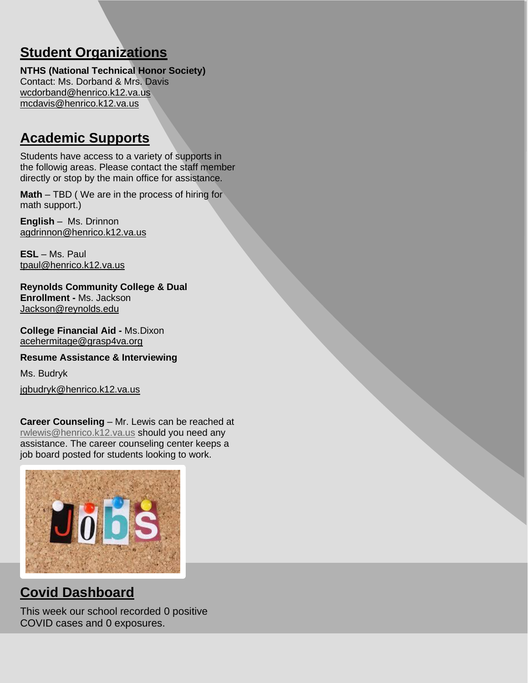## **Student Organizations**

**NTHS (National Technical Honor Society)** Contact: Ms. Dorband & Mrs. Davis [wcdorband@henrico.k12.va.us](mailto:wcdorband@henrico.k12.va.us) [mcdavis@henrico.k12.va.us](mailto:mcdavis@henrico.k12.va.us)

## **Academic Supports**

Students have access to a variety of supports in the followig areas. Please contact the staff member directly or stop by the main office for assistance.

**Math** – TBD ( We are in the process of hiring for math support.)

**English** – Ms. Drinnon [agdrinnon@henrico.k12.va.us](mailto:agdrinnon@henrico.k12.va.us)

**ESL** – Ms. Paul [tpaul@henrico.k12.va.us](mailto:tpaul@henrico.k12.va.us)

**Reynolds Community College & Dual Enrollment -** Ms. Jackson [Jackson@reynolds.edu](mailto:Jackson@reynolds.edu)

**College Financial Aid -** Ms.Dixon [acehermitage@grasp4va.org](https://hcpschools-my.sharepoint.com/personal/kdking_henrico_k12_va_us/Documents/Documents/acehermitage@grasp4va.org)

**Resume Assistance & Interviewing** 

Ms. Budryk

[jgbudryk@henrico.k12.va.us](mailto:jgbudryk@henrico.k12.va.us)

**Career Counseling** – Mr. Lewis can be reached at [rwlewis@henrico.k12.va.us](mailto:rwlewis@henrico.k12.va.us) should you need any assistance. The career counseling center keeps a job board posted for students looking to work.



### **Covid Dashboard**

This week our school recorded 0 positive COVID cases and 0 exposures.